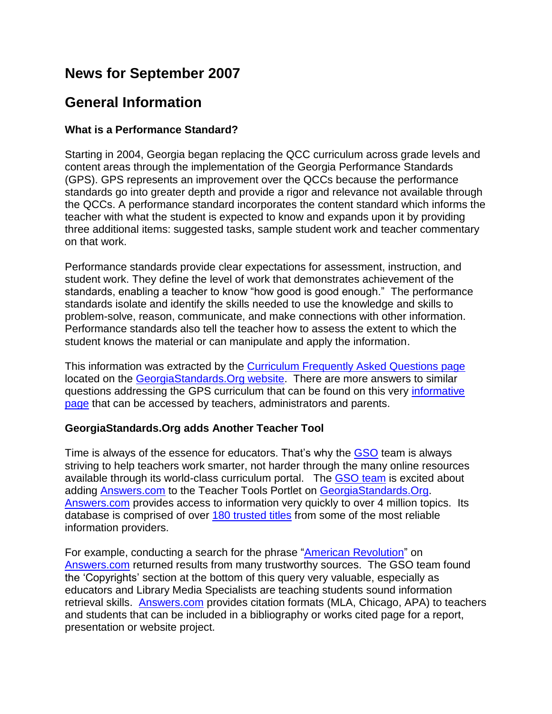## **News for September 2007**

## **General Information**

#### **What is a Performance Standard?**

Starting in 2004, Georgia began replacing the QCC curriculum across grade levels and content areas through the implementation of the Georgia Performance Standards (GPS). GPS represents an improvement over the QCCs because the performance standards go into greater depth and provide a rigor and relevance not available through the QCCs. A performance standard incorporates the content standard which informs the teacher with what the student is expected to know and expands upon it by providing three additional items: suggested tasks, sample student work and teacher commentary on that work.

Performance standards provide clear expectations for assessment, instruction, and student work. They define the level of work that demonstrates achievement of the standards, enabling a teacher to know "how good is good enough." The performance standards isolate and identify the skills needed to use the knowledge and skills to problem-solve, reason, communicate, and make connections with other information. Performance standards also tell the teacher how to assess the extent to which the student knows the material or can manipulate and apply the information.

This information was extracted by the **Curriculum Frequently Asked Questions page** located on the GeorgiaStandards. Org website. There are more answers to similar questions addressing the GPS curriculum that can be found on this very [informative](http://www.georgiastandards.org/faqs.aspx)  [page](http://www.georgiastandards.org/faqs.aspx) that can be accessed by teachers, administrators and parents.

## **GeorgiaStandards.Org adds Another Teacher Tool**

Time is always of the essence for educators. That"s why the [GSO](http://www.georgiastandards.org/) team is always striving to help teachers work smarter, not harder through the many online resources available through its world-class curriculum portal. The [GSO](http://www.georgiastandards.org/index.aspx?PageReq=GSOStaff) team is excited about adding [Answers.com](http://www.answers.com/) to the Teacher Tools Portlet on [GeorgiaStandards.Org.](http://www.georgiastandards.org/) [Answers.com](http://www.answers.com/) provides access to information very quickly to over 4 million topics. Its database is comprised of over [180 trusted titles](http://www.answers.com/main/what_content.jsp) from some of the most reliable information providers.

For example, conducting a search for the phrase ["American Revolution"](http://www.answers.com/topic/american-revolution?cat=biz-fin) on [Answers.com](http://www.answers.com/) returned results from many trustworthy sources. The GSO team found the "Copyrights" section at the bottom of this query very valuable, especially as educators and Library Media Specialists are teaching students sound information retrieval skills. [Answers.com](http://www.answers.com/) provides citation formats (MLA, Chicago, APA) to teachers and students that can be included in a bibliography or works cited page for a report, presentation or website project.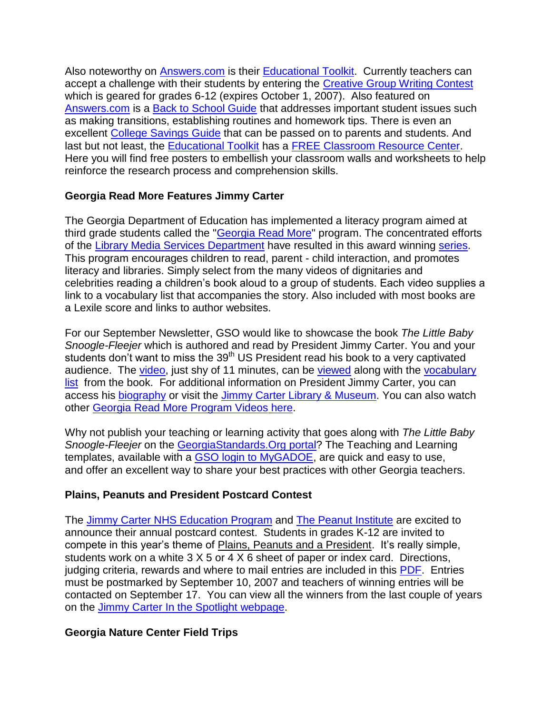Also noteworthy on [Answers.com](http://www.answers.com/) is their [Educational Toolkit.](http://educator.answers.com/) Currently teachers can accept a challenge with their students by entering the [Creative Group Writing Contest](http://educator.answers.com/main/writing_challenge.jsp) which is geared for grades 6-12 (expires October 1, 2007). Also featured on [Answers.com](http://www.answers.com/) is a [Back to School Guide](http://www.answers.com/topic/back-to-school-1) that addresses important student issues such as making transitions, establishing routines and homework tips. There is even an excellent [College Savings Guide](http://www.answers.com/topic/financial-aid-2?cat=biz-fin) that can be passed on to parents and students. And last but not least, the [Educational Toolkit](http://educator.answers.com/) has a [FREE Classroom Resource Center.](http://educator.answers.com/main/posters.jsp) Here you will find free posters to embellish your classroom walls and worksheets to help reinforce the research process and comprehension skills.

## **Georgia Read More Features Jimmy Carter**

The Georgia Department of Education has implemented a literacy program aimed at third grade students called the ["Georgia Read More"](http://public.doe.k12.ga.us/pea_communications.aspx?ViewMode=1&obj=982) program. The concentrated efforts of the [Library Media Services Department](http://www.glc.k12.ga.us/pandp/media/homepg.htm) have resulted in this award winning [series.](http://public.doe.k12.ga.us/it.aspx?PageReq=ITReadMore) This program encourages children to read, parent - child interaction, and promotes literacy and libraries. Simply select from the many videos of dignitaries and celebrities reading a children"s book aloud to a group of students. Each video supplies a link to a vocabulary list that accompanies the story. Also included with most books are a Lexile score and links to author websites.

For our September Newsletter, GSO would like to showcase the book *The Little Baby Snoogle-Fleejer* which is authored and read by President Jimmy Carter. You and your students don't want to miss the 39<sup>th</sup> US President read his book to a very captivated audience. The [video,](mms://mediam1.gpb.org/GA-DOE/GaReadsMore/DOE_GRM_Carter104_118332103.wmv) just shy of 11 minutes, can be [viewed](mms://mediam1.gpb.org/GA-DOE/GaReadsMore/DOE_GRM_Carter104_118332103.wmv) along with the [vocabulary](http://www.glc.k12.ga.us/passwd/trc/ttools/attach/mediapandp/vocab_list/The%20little%20baby%20Snoogle%20Fleejer%20vocabulary%20list.pdf)  [list](http://www.glc.k12.ga.us/passwd/trc/ttools/attach/mediapandp/vocab_list/The%20little%20baby%20Snoogle%20Fleejer%20vocabulary%20list.pdf) from the book. For additional information on President Jimmy Carter, you can access his [biography](http://www.whitehouse.gov/history/presidents/jc39.html) or visit the [Jimmy Carter Library & Museum.](http://www.jimmycarterlibrary.org/) You can also watch other [Georgia Read More Program Videos](http://www.gadoe.org/it.aspx?PageReq=ITReadMore) [here.](http://www.gadoe.org/it.aspx?PageReq=ITReadMore)

Why not publish your teaching or learning activity that goes along with *The Little Baby Snoogle-Fleejer* on the [GeorgiaStandards.Org portal?](http://www.georgiastandards.org/) The Teaching and Learning templates, available with a [GSO login to MyGADOE,](https://portal.doe.k12.ga.us/login.aspx) are quick and easy to use, and offer an excellent way to share your best practices with other Georgia teachers.

## **Plains, Peanuts and President Postcard Contest**

The [Jimmy Carter NHS Education Program](http://jimmycarter.info/) and [The Peanut Institute](http://www.peanut-institute.org/) are excited to announce their annual postcard contest. Students in grades K-12 are invited to compete in this year's theme of Plains, Peanuts and a President. It's really simple, students work on a white 3 X 5 or 4 X 6 sheet of paper or index card. Directions, judging criteria, rewards and where to mail entries are included in this [PDF.](http://www.glc.k12.ga.us/news/GLC%20News_files/2007-Jimmy-Carter-post-card-contest.pdf) Entries must be postmarked by September 10, 2007 and teachers of winning entries will be contacted on September 17. You can view all the winners from the last couple of years on the Jimmy Carter [In the Spotlight webpage.](http://jimmycarter.info/spotlight_1.html)

## **Georgia Nature Center Field Trips**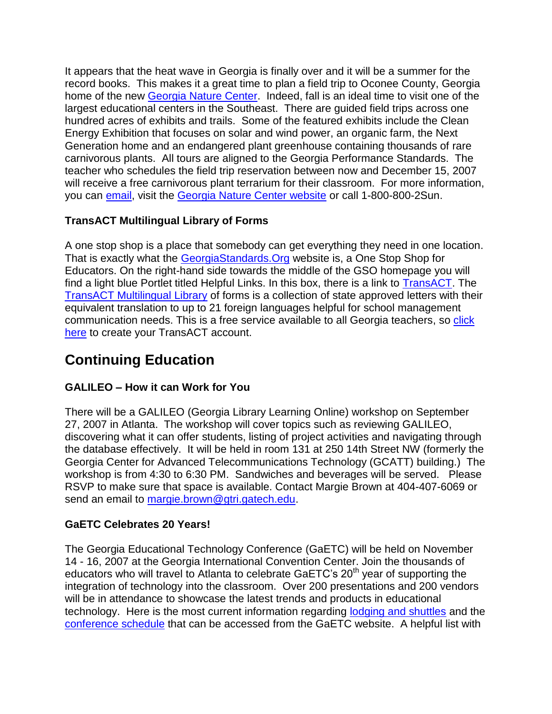It appears that the heat wave in Georgia is finally over and it will be a summer for the record books. This makes it a great time to plan a field trip to Oconee County, Georgia home of the new [Georgia Nature Center.](http://www.naturecenter.com/) Indeed, fall is an ideal time to visit one of the largest educational centers in the Southeast. There are guided field trips across one hundred acres of exhibits and trails. Some of the featured exhibits include the Clean Energy Exhibition that focuses on solar and wind power, an organic farm, the Next Generation home and an endangered plant greenhouse containing thousands of rare carnivorous plants. All tours are aligned to the Georgia Performance Standards. The teacher who schedules the field trip reservation between now and December 15, 2007 will receive a free carnivorous plant terrarium for their classroom. For more information, you can [email,](mailto:Tours@NatureCenter.com) visit the [Georgia Nature Center website](http://www.naturecenter.com/) or call 1-800-800-2Sun.

## **TransACT Multilingual Library of Forms**

A one stop shop is a place that somebody can get everything they need in one location. That is exactly what the [GeorgiaStandards.Org](http://www.georgiastandards.org/) website is, a One Stop Shop for Educators. On the right-hand side towards the middle of the GSO homepage you will find a light blue Portlet titled Helpful Links. In this box, there is a link to [TransACT.](http://www.transact.com/public/default.htm) The [TransACT Multilingual Library](http://www.transact.com/public/default.htm) of forms is a collection of state approved letters with their equivalent translation to up to 21 foreign languages helpful for school management communication needs. This is a free service available to all Georgia teachers, so [click](https://secure.transact.com/index.cfm?event=DistrictSearchPage)  [here](https://secure.transact.com/index.cfm?event=DistrictSearchPage) to create your TransACT account.

# **Continuing Education**

## **GALILEO – How it can Work for You**

There will be a GALILEO (Georgia Library Learning Online) workshop on September 27, 2007 in Atlanta. The workshop will cover topics such as reviewing GALILEO, discovering what it can offer students, listing of project activities and navigating through the database effectively. It will be held in room 131 at 250 14th Street NW (formerly the Georgia Center for Advanced Telecommunications Technology (GCATT) building.) The workshop is from 4:30 to 6:30 PM. Sandwiches and beverages will be served. Please RSVP to make sure that space is available. Contact Margie Brown at 404-407-6069 or send an email to [margie.brown@gtri.gatech.edu.](mailto:margie.brown@gtri.gatech.edu)

## **GaETC Celebrates 20 Years!**

The Georgia Educational Technology Conference (GaETC) will be held on November 14 - 16, 2007 at the Georgia International Convention Center. Join the thousands of educators who will travel to Atlanta to celebrate GaETC's 20<sup>th</sup> year of supporting the integration of technology into the classroom. Over 200 presentations and 200 vendors will be in attendance to showcase the latest trends and products in educational technology. Here is the most current information regarding **[lodging and shuttles](http://www.gaetc.org/lodging07.htm)** and the [conference schedule](http://www.gaetc.org/schedule07.htm) that can be accessed from the GaETC website. A helpful list with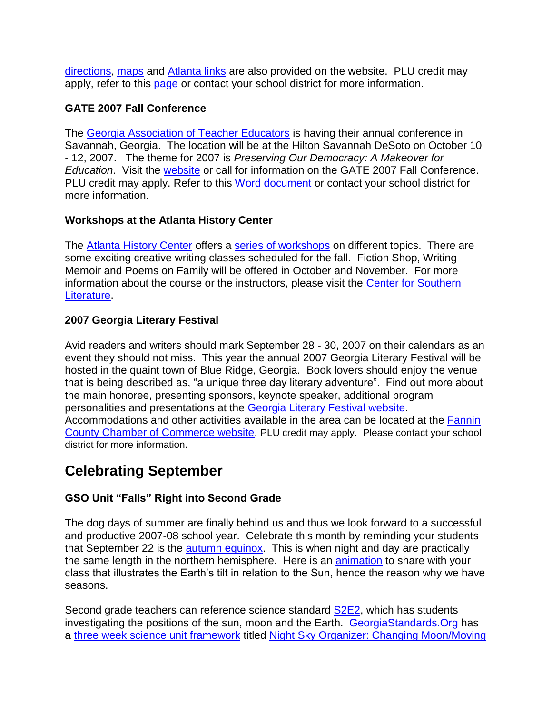[directions, maps](http://www.gaetc.org/atlantalinks.htm) and [Atlanta links](http://www.gaetc.org/atlantalinks.htm) are also provided on the website. PLU credit may apply, refer to this [page](http://www.gaetc.org/plu07.htm) or contact your school district for more information.

## **GATE 2007 Fall Conference**

The [Georgia Association of Teacher Educators](http://www.gaate.org/) is having their annual conference in Savannah, Georgia. The location will be at the Hilton Savannah DeSoto on October 10 - 12, 2007. The theme for 2007 is *Preserving Our Democracy: A Makeover for Education*. Visit the [website](http://www.gaate.org/) or call for information on the GATE 2007 Fall Conference. PLU credit may apply. Refer to this [Word document](http://www.gaate.org/Gate%20plu%20Prior%20Approval%20Form%20and%20Course%20Approval%20form%20(2).doc) or contact your school district for more information.

## **Workshops at the Atlanta History Center**

The [Atlanta History Center](http://www.atlantahistorycenter.com/index.cfm) offers a [series of workshops](http://www.atlantahistorycenter.com/template.cfm?cid=533) on different topics. There are some exciting creative writing classes scheduled for the fall. Fiction Shop, Writing Memoir and Poems on Family will be offered in October and November. For more information about the course or the instructors, please visit the [Center for Southern](http://www.gwtw.org/calendar/adult_writing.htm)  [Literature.](http://www.gwtw.org/calendar/adult_writing.htm)

## **2007 Georgia Literary Festival**

Avid readers and writers should mark September 28 - 30, 2007 on their calendars as an event they should not miss. This year the annual 2007 Georgia Literary Festival will be hosted in the quaint town of Blue Ridge, Georgia. Book lovers should enjoy the venue that is being described as, "a unique three day literary adventure". Find out more about the main honoree, presenting sponsors, keynote speaker, additional program personalities and presentations at the [Georgia Literary Festival website.](http://www.georgialiteraryfestival.org/) Accommodations and other activities available in the area can be located at the [Fannin](http://www.blueridgemountains.com/)  [County Chamber of Commerce website.](http://www.blueridgemountains.com/) PLU credit may apply. Please contact your school district for more information.

# **Celebrating September**

## **GSO Unit "Falls" Right into Second Grade**

The dog days of summer are finally behind us and thus we look forward to a successful and productive 2007-08 school year. Celebrate this month by reminding your students that September 22 is the *autumn equinox*. This is when night and day are practically the same length in the northern hemisphere. Here is an [animation](http://scienceworld.wolfram.com/astronomy/movies/Seasons.mov) to share with your class that illustrates the Earth"s tilt in relation to the Sun, hence the reason why we have seasons.

Second grade teachers can reference science standard [S2E2,](http://www.georgiastandards.org/SearchResults.aspx?viewmode=details&StandardIDSelected=100) which has students investigating the positions of the sun, moon and the Earth. [GeorgiaStandards.Org](http://www.georgiastandards.org/) has a [three week science unit framework](http://www.georgiastandards.org/DMGetDocument.aspx/GPS2ndDOE%20Moon%20and%20SunPost.pdf?p=6CC6799F8C1371F6364E420ECD405716F2253FDB127A3D0E29BC9D34827DE564&Type=D) titled [Night Sky Organizer: Changing Moon/Moving](http://www.georgiastandards.org/DMGetDocument.aspx/GPS2ndDOE%20Moon%20and%20SunPost.pdf?p=6CC6799F8C1371F6364E420ECD405716F2253FDB127A3D0E29BC9D34827DE564&Type=D)